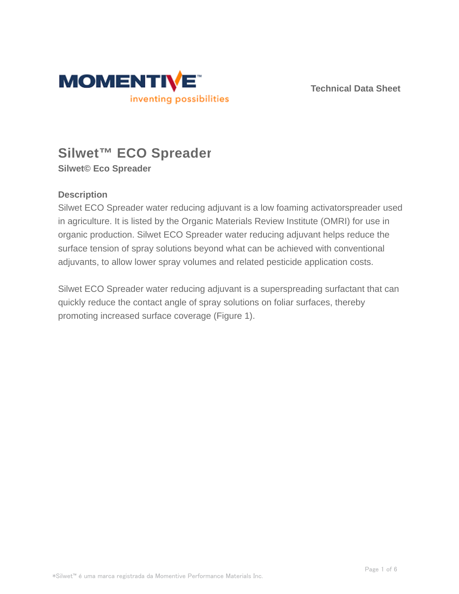

**Technical Data Sheet**

# **Silwet™ ECO Spreader**

**Silwet© Eco Spreader**

## **Description**

Silwet ECO Spreader water reducing adjuvant is a low foaming activatorspreader used in agriculture. It is listed by the Organic Materials Review Institute (OMRI) for use in organic production. Silwet ECO Spreader water reducing adjuvant helps reduce the surface tension of spray solutions beyond what can be achieved with conventional adjuvants, to allow lower spray volumes and related pesticide application costs.

Silwet ECO Spreader water reducing adjuvant is a superspreading surfactant that can quickly reduce the contact angle of spray solutions on foliar surfaces, thereby promoting increased surface coverage (Figure 1).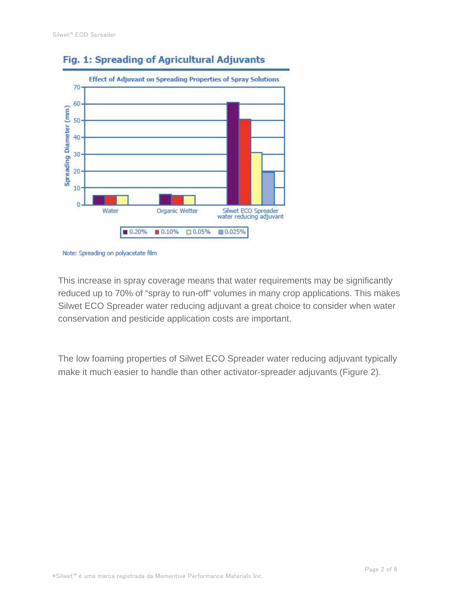

# Fig. 1: Spreading of Agricultural Adjuvants

This increase in spray coverage means that water requirements may be significantly reduced up to 70% of "spray to run-off" volumes in many crop applications. This makes Silwet ECO Spreader water reducing adjuvant a great choice to consider when water conservation and pesticide application costs are important.

The low foaming properties of Silwet ECO Spreader water reducing adjuvant typically make it much easier to handle than other activator-spreader adjuvants (Figure 2).

Note: Spreading on polyacetate film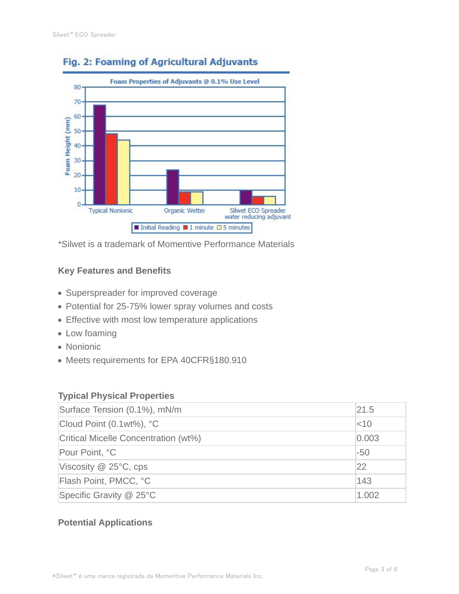

# Fig. 2: Foaming of Agricultural Adjuvants

\*Silwet is a trademark of Momentive Performance Materials

#### **Key Features and Benefits**

- Superspreader for improved coverage
- Potential for 25-75% lower spray volumes and costs
- Effective with most low temperature applications
- Low foaming
- Nonionic
- Meets requirements for EPA 40CFR§180.910

#### **Typical Physical Properties**

| Surface Tension (0.1%), mN/m         | 21.5     |
|--------------------------------------|----------|
| Cloud Point (0.1wt%), °C             | $ $ < 10 |
| Critical Micelle Concentration (wt%) | 0.003    |
| Pour Point, °C                       | $-50$    |
| Viscosity $@$ 25 $°C$ , cps          | 22       |
| Flash Point, PMCC, °C                | 143      |
| Specific Gravity @ 25°C              | 1.002    |

### **Potential Applications**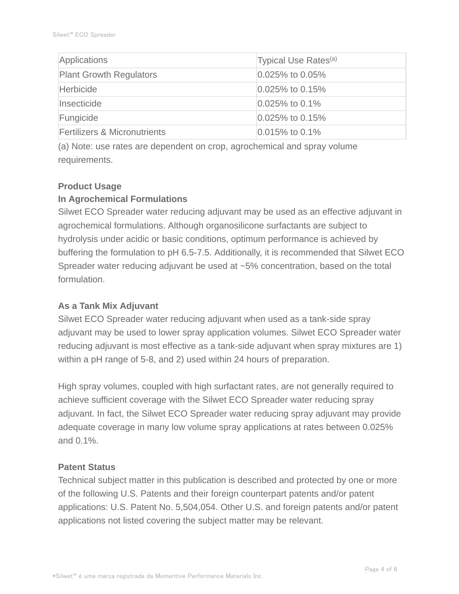| Applications                            | Typical Use Rates <sup>(a)</sup> |
|-----------------------------------------|----------------------------------|
| <b>Plant Growth Regulators</b>          | $ 0.025\%$ to 0.05%              |
| Herbicide                               | $ 0.025\%$ to 0.15%              |
| Insecticide                             | $ 0.025\%$ to 0.1%               |
| Fungicide                               | $0.025\%$ to 0.15%               |
| <b>Fertilizers &amp; Micronutrients</b> | $0.015\%$ to 0.1%                |

(a) Note: use rates are dependent on crop, agrochemical and spray volume requirements.

#### **Product Usage**

#### **In Agrochemical Formulations**

Silwet ECO Spreader water reducing adjuvant may be used as an effective adjuvant in agrochemical formulations. Although organosilicone surfactants are subject to hydrolysis under acidic or basic conditions, optimum performance is achieved by buffering the formulation to pH 6.5-7.5. Additionally, it is recommended that Silwet ECO Spreader water reducing adjuvant be used at ~5% concentration, based on the total formulation.

#### **As a Tank Mix Adjuvant**

Silwet ECO Spreader water reducing adjuvant when used as a tank-side spray adjuvant may be used to lower spray application volumes. Silwet ECO Spreader water reducing adjuvant is most effective as a tank-side adjuvant when spray mixtures are 1) within a pH range of 5-8, and 2) used within 24 hours of preparation.

High spray volumes, coupled with high surfactant rates, are not generally required to achieve sufficient coverage with the Silwet ECO Spreader water reducing spray adjuvant. In fact, the Silwet ECO Spreader water reducing spray adjuvant may provide adequate coverage in many low volume spray applications at rates between 0.025% and 0.1%.

#### **Patent Status**

Technical subject matter in this publication is described and protected by one or more of the following U.S. Patents and their foreign counterpart patents and/or patent applications: U.S. Patent No. 5,504,054. Other U.S. and foreign patents and/or patent applications not listed covering the subject matter may be relevant.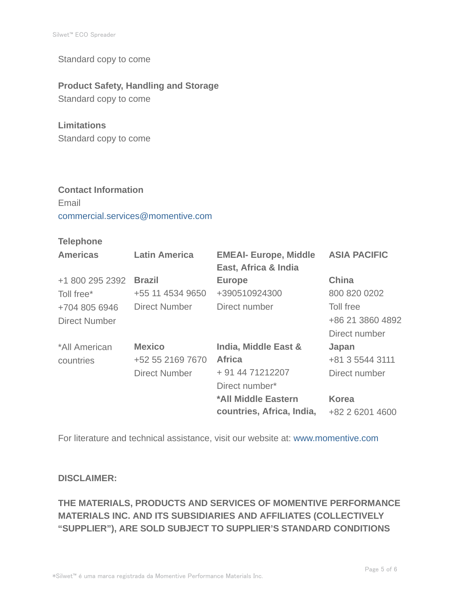Standard copy to come

### **Product Safety, Handling and Storage**

Standard copy to come

#### **Limitations**

Standard copy to come

# **Contact Information** Email commercial.services@momentive.com

### **Telephone**

| <b>Americas</b>      | <b>Latin America</b> | <b>EMEAI- Europe, Middle</b><br>East, Africa & India | <b>ASIA PACIFIC</b> |
|----------------------|----------------------|------------------------------------------------------|---------------------|
| +1 800 295 2392      | <b>Brazil</b>        | <b>Europe</b>                                        | China               |
| Toll free*           | +55 11 4534 9650     | +390510924300                                        | 800 820 0202        |
| +704 805 6946        | Direct Number        | Direct number                                        | Toll free           |
| <b>Direct Number</b> |                      |                                                      | +86 21 3860 4892    |
|                      |                      |                                                      | Direct number       |
| *All American        | <b>Mexico</b>        | India, Middle East &                                 | Japan               |
| countries            | +52 55 2169 7670     | <b>Africa</b>                                        | +81 3 5544 3111     |
|                      | <b>Direct Number</b> | + 91 44 71212207                                     | Direct number       |
|                      |                      | Direct number*                                       |                     |
|                      |                      | *All Middle Eastern                                  | <b>Korea</b>        |
|                      |                      | countries, Africa, India,                            | +82 2 6201 4600     |

For literature and technical assistance, visit our website at: www.momentive.com

#### **DISCLAIMER:**

# **THE MATERIALS, PRODUCTS AND SERVICES OF MOMENTIVE PERFORMANCE MATERIALS INC. AND ITS SUBSIDIARIES AND AFFILIATES (COLLECTIVELY "SUPPLIER"), ARE SOLD SUBJECT TO SUPPLIER'S STANDARD CONDITIONS**